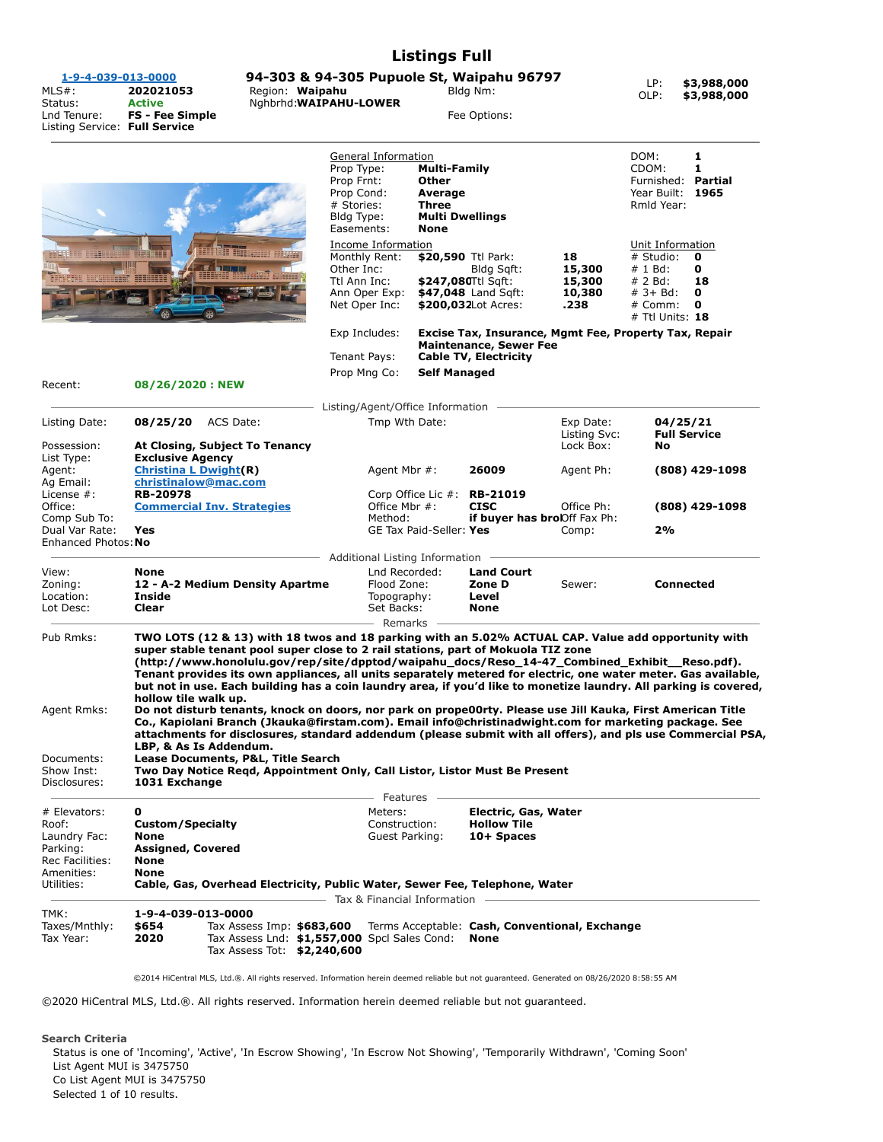## **Listings Full**

LP: **\$3,988,000** OLP: **\$3,988,000**

| 1-9-4-039-013-0000<br>$MLS#$ :<br>Status:<br>Lnd Tenure: | 202021053<br><b>Active</b><br>FS - Fee Simple | 94-303 & 94-305 Pupuole St, Waipahu 96797<br>Region: Waipahu<br>Nghbrhd: WAIPAHU-LOWER    | Bldg Nm:<br>Fee Options:                                                                                                |                        | LP:<br>OLP:                                           | \$3,988,0<br>\$3,988,0                      |
|----------------------------------------------------------|-----------------------------------------------|-------------------------------------------------------------------------------------------|-------------------------------------------------------------------------------------------------------------------------|------------------------|-------------------------------------------------------|---------------------------------------------|
| Listing Service: Full Service                            |                                               | Prop Type:<br>Prop Frnt:<br>Prop Cond:<br># Stories:<br>Bldg Type:<br>Easements:          | General Information<br><b>Multi-Family</b><br>Other<br>Average<br><b>Three</b><br><b>Multi Dwellings</b><br><b>None</b> |                        |                                                       | Partial<br>Furnished:<br>1965<br>Rmld Year: |
| THE R. P. LEWIS CO., LANSING, MICH. 49-14039-1-120-2     |                                               | Income Information<br><b>THEREST RELIX</b><br>Monthly Rent:<br>Other Inc:<br>Ttl Ann Inc: | \$20,590 Ttl Park:<br>Blda Saft:<br>$$247.080$ Ttl Saft:                                                                | 18<br>15,300<br>15.300 | Unit Information<br># Studio:<br># 1 Bd:<br>$# 2$ Bd: | 0<br>0<br>18                                |

|                                         |                                                                                                                                                                                                                                                                                                                                                                                                                                                                                                                                                                                                                                                                                                                                                                                                                                                                                                                                                                                                                                               | .<br>Net Oper Inc: | Ann Oper Exp:         |                                                               | <b>₩▙▜▞▞</b> ⋓⋓⋓▏Ѿ▏Ӛ▚▏▏<br>\$47,048 Land Sqft:<br>\$200,032Lot Acres: | ---<br>---<br>10,380<br>.238                   | $L$ $\sim$ $DQ$ .<br>$# 3 + Bd$ :<br>0<br># Comm:<br>0<br># Ttl Units: 18 |
|-----------------------------------------|-----------------------------------------------------------------------------------------------------------------------------------------------------------------------------------------------------------------------------------------------------------------------------------------------------------------------------------------------------------------------------------------------------------------------------------------------------------------------------------------------------------------------------------------------------------------------------------------------------------------------------------------------------------------------------------------------------------------------------------------------------------------------------------------------------------------------------------------------------------------------------------------------------------------------------------------------------------------------------------------------------------------------------------------------|--------------------|-----------------------|---------------------------------------------------------------|-----------------------------------------------------------------------|------------------------------------------------|---------------------------------------------------------------------------|
|                                         |                                                                                                                                                                                                                                                                                                                                                                                                                                                                                                                                                                                                                                                                                                                                                                                                                                                                                                                                                                                                                                               | Exp Includes:      |                       |                                                               |                                                                       |                                                | Excise Tax, Insurance, Mgmt Fee, Property Tax, Repair                     |
|                                         |                                                                                                                                                                                                                                                                                                                                                                                                                                                                                                                                                                                                                                                                                                                                                                                                                                                                                                                                                                                                                                               | Tenant Pays:       |                       | <b>Maintenance, Sewer Fee</b><br><b>Cable TV, Electricity</b> |                                                                       |                                                |                                                                           |
|                                         |                                                                                                                                                                                                                                                                                                                                                                                                                                                                                                                                                                                                                                                                                                                                                                                                                                                                                                                                                                                                                                               | Prop Mng Co:       |                       | <b>Self Managed</b>                                           |                                                                       |                                                |                                                                           |
| Recent:                                 | 08/26/2020 : NEW                                                                                                                                                                                                                                                                                                                                                                                                                                                                                                                                                                                                                                                                                                                                                                                                                                                                                                                                                                                                                              |                    |                       |                                                               |                                                                       |                                                |                                                                           |
|                                         |                                                                                                                                                                                                                                                                                                                                                                                                                                                                                                                                                                                                                                                                                                                                                                                                                                                                                                                                                                                                                                               |                    |                       | Listing/Agent/Office Information                              |                                                                       |                                                |                                                                           |
| Listing Date:                           | 08/25/20<br>ACS Date:                                                                                                                                                                                                                                                                                                                                                                                                                                                                                                                                                                                                                                                                                                                                                                                                                                                                                                                                                                                                                         |                    | Tmp Wth Date:         |                                                               | Exp Date:<br>Listing Svc:                                             | 04/25/21<br><b>Full Service</b>                |                                                                           |
| Possession:                             | At Closing, Subject To Tenancy                                                                                                                                                                                                                                                                                                                                                                                                                                                                                                                                                                                                                                                                                                                                                                                                                                                                                                                                                                                                                |                    |                       |                                                               |                                                                       | Lock Box:                                      | No                                                                        |
| List Type:                              | <b>Exclusive Agency</b>                                                                                                                                                                                                                                                                                                                                                                                                                                                                                                                                                                                                                                                                                                                                                                                                                                                                                                                                                                                                                       |                    |                       |                                                               |                                                                       |                                                |                                                                           |
| Agent:<br>Ag Email:                     | <b>Christina L Dwight(R)</b><br>christinalow@mac.com                                                                                                                                                                                                                                                                                                                                                                                                                                                                                                                                                                                                                                                                                                                                                                                                                                                                                                                                                                                          |                    | Agent Mbr #:          |                                                               | 26009                                                                 | Agent Ph:                                      | (808) 429-1098                                                            |
| License #:                              | <b>RB-20978</b>                                                                                                                                                                                                                                                                                                                                                                                                                                                                                                                                                                                                                                                                                                                                                                                                                                                                                                                                                                                                                               |                    |                       | Corp Office Lic #:                                            | RB-21019                                                              |                                                |                                                                           |
| Office:                                 | <b>Commercial Inv. Strategies</b>                                                                                                                                                                                                                                                                                                                                                                                                                                                                                                                                                                                                                                                                                                                                                                                                                                                                                                                                                                                                             |                    | Office Mbr #:         |                                                               | <b>CISC</b>                                                           | Office Ph:                                     | $(808)$ 429-1098                                                          |
| Comp Sub To:                            |                                                                                                                                                                                                                                                                                                                                                                                                                                                                                                                                                                                                                                                                                                                                                                                                                                                                                                                                                                                                                                               |                    | Method:               |                                                               | if buyer has brolOff Fax Ph:                                          |                                                |                                                                           |
| Dual Var Rate:<br>Enhanced Photos: No   | Yes                                                                                                                                                                                                                                                                                                                                                                                                                                                                                                                                                                                                                                                                                                                                                                                                                                                                                                                                                                                                                                           |                    |                       | GE Tax Paid-Seller: Yes                                       |                                                                       | Comp:                                          | 2%                                                                        |
|                                         |                                                                                                                                                                                                                                                                                                                                                                                                                                                                                                                                                                                                                                                                                                                                                                                                                                                                                                                                                                                                                                               |                    |                       | Additional Listing Information                                |                                                                       |                                                |                                                                           |
| View:                                   | None                                                                                                                                                                                                                                                                                                                                                                                                                                                                                                                                                                                                                                                                                                                                                                                                                                                                                                                                                                                                                                          |                    | Lnd Recorded:         |                                                               | <b>Land Court</b>                                                     |                                                |                                                                           |
| Zoning:                                 | 12 - A-2 Medium Density Apartme                                                                                                                                                                                                                                                                                                                                                                                                                                                                                                                                                                                                                                                                                                                                                                                                                                                                                                                                                                                                               |                    | Flood Zone:           |                                                               | Zone D                                                                | Sewer:                                         | <b>Connected</b>                                                          |
| Location:                               | Inside                                                                                                                                                                                                                                                                                                                                                                                                                                                                                                                                                                                                                                                                                                                                                                                                                                                                                                                                                                                                                                        |                    | Topography:           |                                                               | Level                                                                 |                                                |                                                                           |
| Lot Desc:                               | Clear                                                                                                                                                                                                                                                                                                                                                                                                                                                                                                                                                                                                                                                                                                                                                                                                                                                                                                                                                                                                                                         |                    | Set Backs:<br>Remarks |                                                               | <b>None</b>                                                           |                                                |                                                                           |
| Agent Rmks:<br>Documents:<br>Show Inst: | TWO LOTS (12 & 13) with 18 twos and 18 parking with an 5.02% ACTUAL CAP. Value add opportunity with<br>super stable tenant pool super close to 2 rail stations, part of Mokuola TIZ zone<br>(http://www.honolulu.gov/rep/site/dpptod/waipahu_docs/Reso_14-47_Combined_Exhibit__Reso.pdf).<br>Tenant provides its own appliances, all units separately metered for electric, one water meter. Gas available,<br>but not in use. Each building has a coin laundry area, if you'd like to monetize laundry. All parking is covered,<br>hollow tile walk up.<br>Do not disturb tenants, knock on doors, nor park on prope00rty. Please use Jill Kauka, First American Title<br>Co., Kapiolani Branch (Jkauka@firstam.com). Email info@christinadwight.com for marketing package. See<br>attachments for disclosures, standard addendum (please submit with all offers), and pls use Commercial PSA,<br>LBP, & As Is Addendum.<br>Lease Documents, P&L, Title Search<br>Two Day Notice Regd, Appointment Only, Call Listor, Listor Must Be Present |                    |                       |                                                               |                                                                       |                                                |                                                                           |
| Disclosures:                            | 1031 Exchange                                                                                                                                                                                                                                                                                                                                                                                                                                                                                                                                                                                                                                                                                                                                                                                                                                                                                                                                                                                                                                 |                    |                       |                                                               |                                                                       |                                                |                                                                           |
| # Elevators:                            | 0                                                                                                                                                                                                                                                                                                                                                                                                                                                                                                                                                                                                                                                                                                                                                                                                                                                                                                                                                                                                                                             |                    | Features<br>Meters:   |                                                               | <b>Electric, Gas, Water</b>                                           |                                                |                                                                           |
| Roof:                                   | <b>Custom/Specialty</b>                                                                                                                                                                                                                                                                                                                                                                                                                                                                                                                                                                                                                                                                                                                                                                                                                                                                                                                                                                                                                       |                    | Construction:         |                                                               | <b>Hollow Tile</b>                                                    |                                                |                                                                           |
| Laundry Fac:                            | None                                                                                                                                                                                                                                                                                                                                                                                                                                                                                                                                                                                                                                                                                                                                                                                                                                                                                                                                                                                                                                          |                    | Guest Parking:        |                                                               | 10+ Spaces                                                            |                                                |                                                                           |
| Parking:<br>Rec Facilities:             | <b>Assigned, Covered</b><br><b>None</b>                                                                                                                                                                                                                                                                                                                                                                                                                                                                                                                                                                                                                                                                                                                                                                                                                                                                                                                                                                                                       |                    |                       |                                                               |                                                                       |                                                |                                                                           |
| Amenities:                              | <b>None</b>                                                                                                                                                                                                                                                                                                                                                                                                                                                                                                                                                                                                                                                                                                                                                                                                                                                                                                                                                                                                                                   |                    |                       |                                                               |                                                                       |                                                |                                                                           |
| Utilities:                              | Cable, Gas, Overhead Electricity, Public Water, Sewer Fee, Telephone, Water                                                                                                                                                                                                                                                                                                                                                                                                                                                                                                                                                                                                                                                                                                                                                                                                                                                                                                                                                                   |                    |                       |                                                               |                                                                       |                                                |                                                                           |
|                                         |                                                                                                                                                                                                                                                                                                                                                                                                                                                                                                                                                                                                                                                                                                                                                                                                                                                                                                                                                                                                                                               |                    |                       | Tax & Financial Information                                   |                                                                       |                                                |                                                                           |
| TMK:                                    | 1-9-4-039-013-0000                                                                                                                                                                                                                                                                                                                                                                                                                                                                                                                                                                                                                                                                                                                                                                                                                                                                                                                                                                                                                            |                    |                       |                                                               |                                                                       |                                                |                                                                           |
| Taxes/Mnthly:<br>Tax Year:              | \$654<br>Tax Assess Imp: \$683,600<br>2020<br>Tax Assess Lnd: \$1,557,000 Spcl Sales Cond:<br>Tax Assess Tot: \$2,240,600                                                                                                                                                                                                                                                                                                                                                                                                                                                                                                                                                                                                                                                                                                                                                                                                                                                                                                                     |                    |                       |                                                               | <b>None</b>                                                           | Terms Acceptable: Cash, Conventional, Exchange |                                                                           |

©2014 HiCentral MLS, Ltd.®. All rights reserved. Information herein deemed reliable but not guaranteed. Generated on 08/26/2020 8:58:55 AM

©2020 HiCentral MLS, Ltd.®. All rights reserved. Information herein deemed reliable but not guaranteed.

## **Search Criteria**

Status is one of 'Incoming', 'Active', 'In Escrow Showing', 'In Escrow Not Showing', 'Temporarily Withdrawn', 'Coming Soon' List Agent MUI is 3475750 Co List Agent MUI is 3475750 Selected 1 of 10 results.